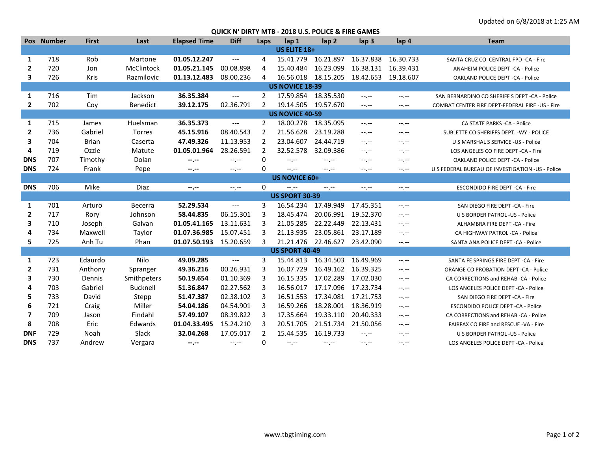Updated on 6/8/2018 at 1:25 AM

## **QUICK N' DIRTY MTB - 2018 U.S. POLICE & FIRE GAMES**

|                         | Pos Number            | <b>First</b> | Last        | <b>Elapsed Time</b> | <b>Diff</b>                         | Laps           | lap 1                | lap <sub>2</sub> | lap <sub>3</sub>    | lap 4            | <b>Team</b>                                      |
|-------------------------|-----------------------|--------------|-------------|---------------------|-------------------------------------|----------------|----------------------|------------------|---------------------|------------------|--------------------------------------------------|
| US ELITE 18+            |                       |              |             |                     |                                     |                |                      |                  |                     |                  |                                                  |
| 1                       | 718                   | Rob          | Martone     | 01.05.12.247        | $\hspace{0.05cm}---\hspace{0.05cm}$ | 4              | 15.41.779            | 16.21.897        | 16.37.838           | 16.30.733        | SANTA CRUZ CO CENTRAL FPD -CA - Fire             |
| $\overline{2}$          | 720                   | Jon          | McClintock  | 01.05.21.145        | 00.08.898                           | 4              | 15.40.484            | 16.23.099        | 16.38.131           | 16.39.431        | ANAHEIM POLICE DEPT - CA - Police                |
| $\overline{\mathbf{3}}$ | 726                   | Kris         | Razmilovic  | 01.13.12.483        | 08.00.236                           | 4              | 16.56.018            | 18.15.205        | 18.42.653 19.18.607 |                  | <b>OAKLAND POLICE DEPT -CA - Police</b>          |
|                         | US NOVICE 18-39       |              |             |                     |                                     |                |                      |                  |                     |                  |                                                  |
| 1                       | 716                   | Tim          | Jackson     | 36.35.384           | $---$                               | $\overline{2}$ | 17.59.854            | 18.35.530        | --.--               | $-1$             | SAN BERNARDINO CO SHERIFF S DEPT - CA - Police   |
| $\overline{2}$          | 702                   | Coy          | Benedict    | 39.12.175           | 02.36.791                           | $\overline{2}$ | 19.14.505 19.57.670  |                  | $-1$ , $-1$         | $-1 - 1 - 1 = 0$ | COMBAT CENTER FIRE DEPT-FEDERAL FIRE -US - Fire  |
|                         | US NOVICE 40-59       |              |             |                     |                                     |                |                      |                  |                     |                  |                                                  |
| 1                       | 715                   | James        | Huelsman    | 36.35.373           | $---$                               | 2              | 18.00.278  18.35.095 |                  | $-1 - 1 - 1 = 0$    | $-1 - 1 - 1 = 0$ | CA STATE PARKS -CA - Police                      |
| $\overline{2}$          | 736                   | Gabriel      | Torres      | 45.15.916           | 08.40.543                           | $\overline{2}$ | 21.56.628            | 23.19.288        | $-1 - 1 - 1 = 0$    | --.--            | SUBLETTE CO SHERIFFS DEPT. - WY - POLICE         |
| 3                       | 704                   | <b>Brian</b> | Caserta     | 47.49.326           | 11.13.953                           | 2              | 23.04.607            | 24.44.719        | $-1$ , $-1$         | $-1, -1$         | U S MARSHAL S SERVICE - US - Police              |
| 4                       | 719                   | Ozzie        | Matute      | 01.05.01.964        | 28.26.591                           | $\overline{2}$ | 32.52.578            | 32.09.386        | $-1$ , $-1$         | $-1 - 1 - 1 = 0$ | LOS ANGELES CO FIRE DEPT - CA - Fire             |
| <b>DNS</b>              | 707                   | Timothy      | Dolan       | $-1 - 1 - 1 = 0$    | $-1 - 1 - 1 = 0$                    | 0              | $-1, -1$             | $-1$ . $-1$      | --.--               | --.--            | OAKLAND POLICE DEPT - CA - Police                |
| <b>DNS</b>              | 724                   | Frank        | Pepe        | $- - - - -$         | $-1, -1$                            | 0              | $-1, -1$             | $-1.1$           | $-1.1$              | $-1.1 -$         | U S FEDERAL BUREAU OF INVESTIGATION -US - Police |
|                         | US NOVICE 60+         |              |             |                     |                                     |                |                      |                  |                     |                  |                                                  |
| <b>DNS</b>              | 706                   | Mike         | <b>Diaz</b> | $- - - - -$         | $-1, -1$                            | $\Omega$       | --.--                | $-1$ . $-1$      | $-1$ , $-1$         | $-1, -1$         | <b>ESCONDIDO FIRE DEPT -CA - Fire</b>            |
|                         | <b>US SPORT 30-39</b> |              |             |                     |                                     |                |                      |                  |                     |                  |                                                  |
| 1                       | 701                   | Arturo       | Becerra     | 52.29.534           | $---$                               | 3              | 16.54.234            | 17.49.949        | 17.45.351           | $-1$             | SAN DIEGO FIRE DEPT - CA - Fire                  |
| $\mathbf{2}$            | 717                   | Rory         | Johnson     | 58.44.835           | 06.15.301                           | 3              | 18.45.474            | 20.06.991        | 19.52.370           | $-1$ , $-1$      | <b>U S BORDER PATROL - US - Police</b>           |
| 3                       | 710                   | Joseph       | Galvan      | 01.05.41.165        | 13.11.631                           | 3              | 21.05.285            | 22.22.449        | 22.13.431           | $-1$ , $-1$      | ALHAMBRA FIRE DEPT - CA - Fire                   |
| 4                       | 734                   | Maxwell      | Taylor      | 01.07.36.985        | 15.07.451                           | 3              | 21.13.935            | 23.05.861        | 23.17.189           | $-1, -1$         | CA HIGHWAY PATROL -CA - Police                   |
| 5                       | 725                   | Anh Tu       | Phan        | 01.07.50.193        | 15.20.659                           | $\overline{3}$ | 21.21.476 22.46.627  |                  | 23.42.090           | $-1, -1$         | SANTA ANA POLICE DEPT - CA - Police              |
|                         | <b>US SPORT 40-49</b> |              |             |                     |                                     |                |                      |                  |                     |                  |                                                  |
| 1                       | 723                   | Edaurdo      | Nilo        | 49.09.285           | $---$                               | 3              | 15.44.813            | 16.34.503        | 16.49.969           | $-1 - 1 - 1 = 0$ | SANTA FE SPRINGS FIRE DEPT - CA - Fire           |
| $\overline{2}$          | 731                   | Anthony      | Spranger    | 49.36.216           | 00.26.931                           | 3              | 16.07.729            | 16.49.162        | 16.39.325           | $-1$             | ORANGE CO PROBATION DEPT - CA - Police           |
| 3                       | 730                   | Dennis       | Smithpeters | 50.19.654           | 01.10.369                           | 3              | 16.15.335            | 17.02.289        | 17.02.030           | $-1 - 1 - 1 = 0$ | CA CORRECTIONS and REHAB-CA - Police             |
| 4                       | 703                   | Gabriel      | Bucknell    | 51.36.847           | 02.27.562                           | 3              | 16.56.017            | 17.17.096        | 17.23.734           | $-1, -1$         | LOS ANGELES POLICE DEPT - CA - Police            |
| 5                       | 733                   | David        | Stepp       | 51.47.387           | 02.38.102                           | 3              | 16.51.553            | 17.34.081        | 17.21.753           | $-1 - 1 - 1 = 0$ | SAN DIEGO FIRE DEPT - CA - Fire                  |
| 6                       | 721                   | Craig        | Miller      | 54.04.186           | 04.54.901                           | 3              | 16.59.266            | 18.28.001        | 18.36.919           | $-1 - 1 - 1 = 0$ | <b>ESCONDIDO POLICE DEPT - CA - Police</b>       |
| $\overline{7}$          | 709                   | Jason        | Findahl     | 57.49.107           | 08.39.822                           | 3              | 17.35.664            | 19.33.110        | 20.40.333           | $-1$             | CA CORRECTIONS and REHAB-CA - Police             |
| 8                       | 708                   | Eric         | Edwards     | 01.04.33.495        | 15.24.210                           | 3              | 20.51.705            | 21.51.734        | 21.50.056           | $-1 - 1 - 1 = 0$ | FAIRFAX CO FIRE and RESCUE -VA - Fire            |
| <b>DNF</b>              | 729                   | Noah         | Slack       | 32.04.268           | 17.05.017                           | $\overline{2}$ | 15.44.535            | 16.19.733        | $-1 - 1 - 1 = 0$    | --.--            | U S BORDER PATROL - US - Police                  |
| <b>DNS</b>              | 737                   | Andrew       | Vergara     | $- - - - -$         | $-1. - -$                           | 0              | $-1. -1$             | $-1. - -$        | $-1$ , $-1$         | $-1$ , $-1$      | LOS ANGELES POLICE DEPT - CA - Police            |